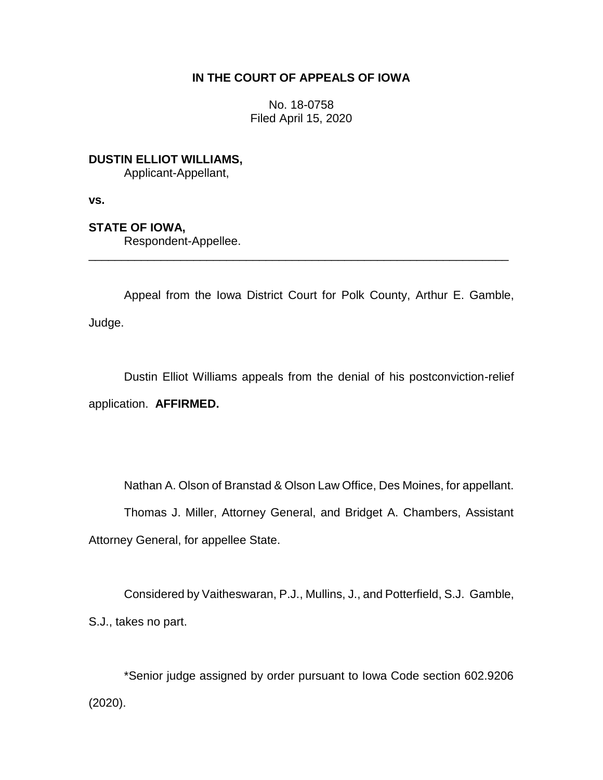# **IN THE COURT OF APPEALS OF IOWA**

No. 18-0758 Filed April 15, 2020

**DUSTIN ELLIOT WILLIAMS,**

Applicant-Appellant,

**vs.**

**STATE OF IOWA,**

Respondent-Appellee.

Appeal from the Iowa District Court for Polk County, Arthur E. Gamble, Judge.

\_\_\_\_\_\_\_\_\_\_\_\_\_\_\_\_\_\_\_\_\_\_\_\_\_\_\_\_\_\_\_\_\_\_\_\_\_\_\_\_\_\_\_\_\_\_\_\_\_\_\_\_\_\_\_\_\_\_\_\_\_\_\_\_

Dustin Elliot Williams appeals from the denial of his postconviction-relief application. **AFFIRMED.**

Nathan A. Olson of Branstad & Olson Law Office, Des Moines, for appellant. Thomas J. Miller, Attorney General, and Bridget A. Chambers, Assistant Attorney General, for appellee State.

Considered by Vaitheswaran, P.J., Mullins, J., and Potterfield, S.J. Gamble, S.J., takes no part.

\*Senior judge assigned by order pursuant to Iowa Code section 602.9206 (2020).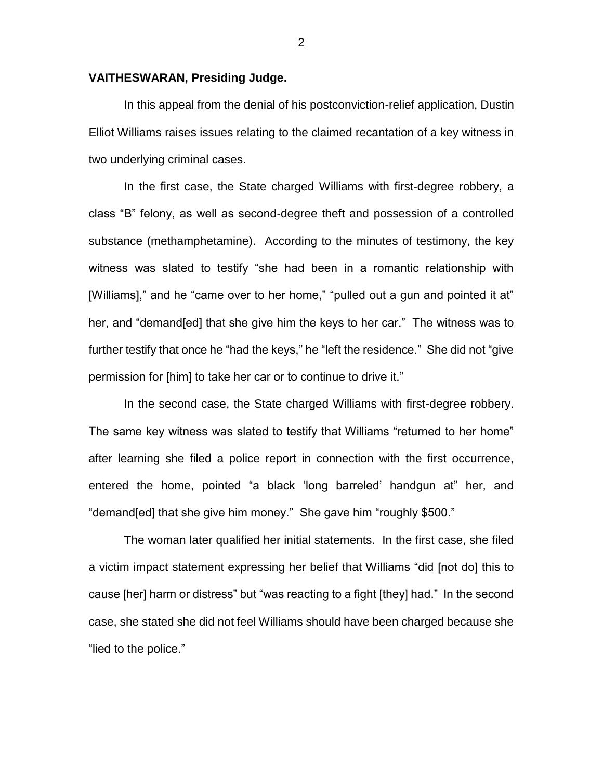### **VAITHESWARAN, Presiding Judge.**

In this appeal from the denial of his postconviction-relief application, Dustin Elliot Williams raises issues relating to the claimed recantation of a key witness in two underlying criminal cases.

In the first case, the State charged Williams with first-degree robbery, a class "B" felony, as well as second-degree theft and possession of a controlled substance (methamphetamine). According to the minutes of testimony, the key witness was slated to testify "she had been in a romantic relationship with [Williams]," and he "came over to her home," "pulled out a gun and pointed it at" her, and "demand[ed] that she give him the keys to her car." The witness was to further testify that once he "had the keys," he "left the residence." She did not "give permission for [him] to take her car or to continue to drive it."

In the second case, the State charged Williams with first-degree robbery. The same key witness was slated to testify that Williams "returned to her home" after learning she filed a police report in connection with the first occurrence, entered the home, pointed "a black 'long barreled' handgun at" her, and "demand[ed] that she give him money." She gave him "roughly \$500."

The woman later qualified her initial statements. In the first case, she filed a victim impact statement expressing her belief that Williams "did [not do] this to cause [her] harm or distress" but "was reacting to a fight [they] had." In the second case, she stated she did not feel Williams should have been charged because she "lied to the police."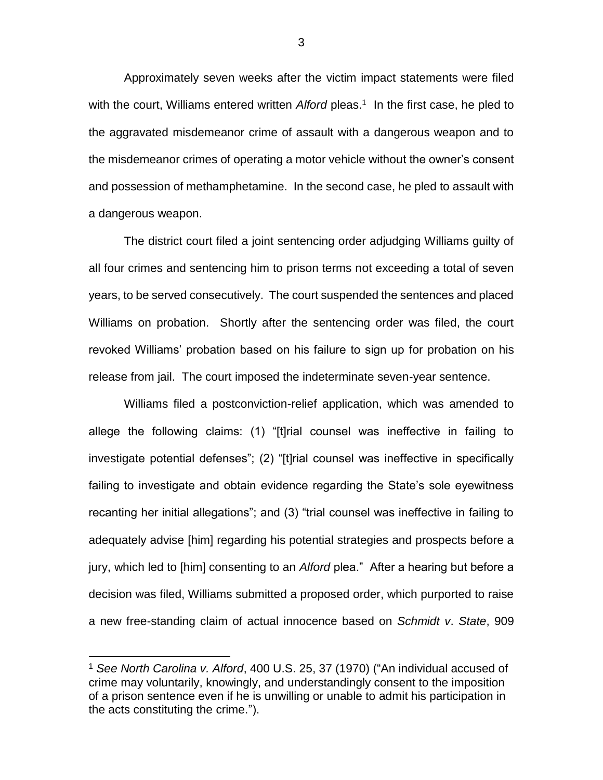Approximately seven weeks after the victim impact statements were filed with the court, Williams entered written Alford pleas.<sup>1</sup> In the first case, he pled to the aggravated misdemeanor crime of assault with a dangerous weapon and to the misdemeanor crimes of operating a motor vehicle without the owner's consent and possession of methamphetamine. In the second case, he pled to assault with a dangerous weapon.

The district court filed a joint sentencing order adjudging Williams guilty of all four crimes and sentencing him to prison terms not exceeding a total of seven years, to be served consecutively. The court suspended the sentences and placed Williams on probation. Shortly after the sentencing order was filed, the court revoked Williams' probation based on his failure to sign up for probation on his release from jail. The court imposed the indeterminate seven-year sentence.

Williams filed a postconviction-relief application, which was amended to allege the following claims: (1) "[t]rial counsel was ineffective in failing to investigate potential defenses"; (2) "[t]rial counsel was ineffective in specifically failing to investigate and obtain evidence regarding the State's sole eyewitness recanting her initial allegations"; and (3) "trial counsel was ineffective in failing to adequately advise [him] regarding his potential strategies and prospects before a jury, which led to [him] consenting to an *Alford* plea." After a hearing but before a decision was filed, Williams submitted a proposed order, which purported to raise a new free-standing claim of actual innocence based on *Schmidt v*. *State*, 909

 $\overline{a}$ 

<sup>1</sup> *See North Carolina v. Alford*, 400 U.S. 25, 37 (1970) ("An individual accused of crime may voluntarily, knowingly, and understandingly consent to the imposition of a prison sentence even if he is unwilling or unable to admit his participation in the acts constituting the crime.").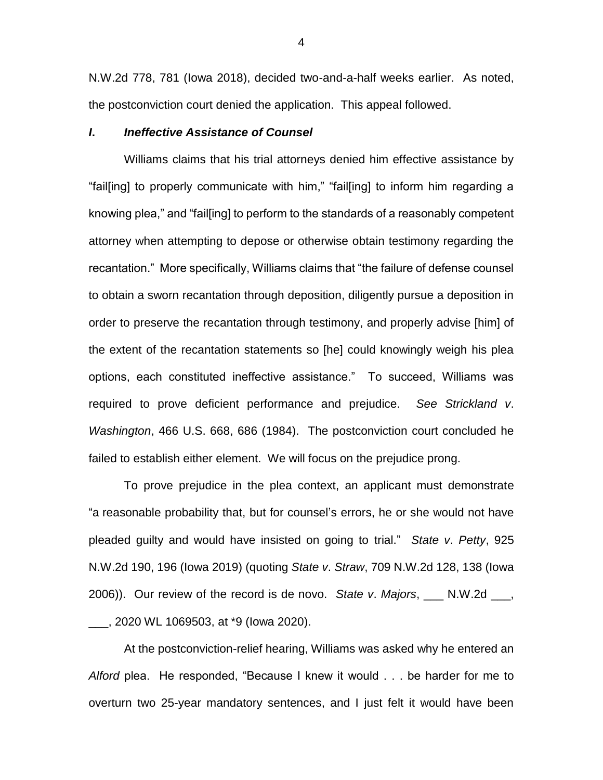N.W.2d 778, 781 (Iowa 2018), decided two-and-a-half weeks earlier. As noted, the postconviction court denied the application. This appeal followed.

### *I***.** *Ineffective Assistance of Counsel*

Williams claims that his trial attorneys denied him effective assistance by "fail[ing] to properly communicate with him," "fail[ing] to inform him regarding a knowing plea," and "fail[ing] to perform to the standards of a reasonably competent attorney when attempting to depose or otherwise obtain testimony regarding the recantation." More specifically, Williams claims that "the failure of defense counsel to obtain a sworn recantation through deposition, diligently pursue a deposition in order to preserve the recantation through testimony, and properly advise [him] of the extent of the recantation statements so [he] could knowingly weigh his plea options, each constituted ineffective assistance." To succeed, Williams was required to prove deficient performance and prejudice. *See Strickland v*. *Washington*, 466 U.S. 668, 686 (1984). The postconviction court concluded he failed to establish either element. We will focus on the prejudice prong.

To prove prejudice in the plea context, an applicant must demonstrate "a reasonable probability that, but for counsel's errors, he or she would not have pleaded guilty and would have insisted on going to trial." *State v*. *Petty*, 925 N.W.2d 190, 196 (Iowa 2019) (quoting *State v*. *Straw*, 709 N.W.2d 128, 138 (Iowa 2006)). Our review of the record is de novo. *State v*. *Majors*, \_\_\_ N.W.2d \_\_\_, \_\_\_, 2020 WL 1069503, at \*9 (Iowa 2020).

At the postconviction-relief hearing, Williams was asked why he entered an *Alford* plea. He responded, "Because I knew it would . . . be harder for me to overturn two 25-year mandatory sentences, and I just felt it would have been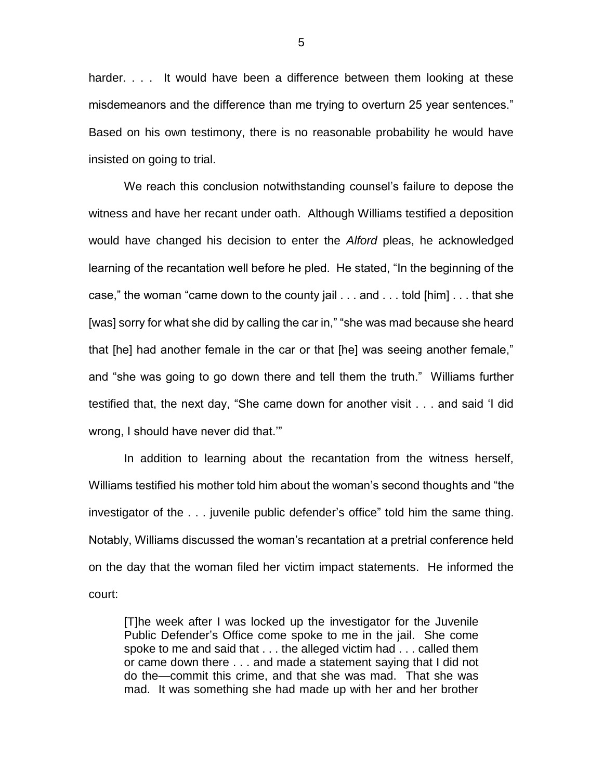harder. . . . It would have been a difference between them looking at these misdemeanors and the difference than me trying to overturn 25 year sentences." Based on his own testimony, there is no reasonable probability he would have insisted on going to trial.

We reach this conclusion notwithstanding counsel's failure to depose the witness and have her recant under oath. Although Williams testified a deposition would have changed his decision to enter the *Alford* pleas, he acknowledged learning of the recantation well before he pled. He stated, "In the beginning of the case," the woman "came down to the county jail . . . and . . . told [him] . . . that she [was] sorry for what she did by calling the car in," "she was mad because she heard that [he] had another female in the car or that [he] was seeing another female," and "she was going to go down there and tell them the truth." Williams further testified that, the next day, "She came down for another visit . . . and said 'I did wrong, I should have never did that.'"

In addition to learning about the recantation from the witness herself, Williams testified his mother told him about the woman's second thoughts and "the investigator of the . . . juvenile public defender's office" told him the same thing. Notably, Williams discussed the woman's recantation at a pretrial conference held on the day that the woman filed her victim impact statements. He informed the court:

[T]he week after I was locked up the investigator for the Juvenile Public Defender's Office come spoke to me in the jail. She come spoke to me and said that . . . the alleged victim had . . . called them or came down there . . . and made a statement saying that I did not do the—commit this crime, and that she was mad. That she was mad. It was something she had made up with her and her brother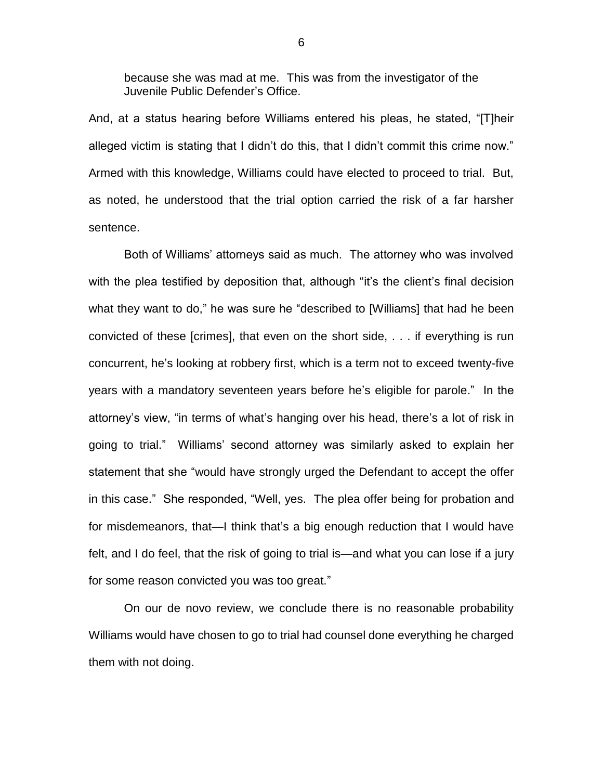because she was mad at me. This was from the investigator of the Juvenile Public Defender's Office.

And, at a status hearing before Williams entered his pleas, he stated, "[T]heir alleged victim is stating that I didn't do this, that I didn't commit this crime now." Armed with this knowledge, Williams could have elected to proceed to trial. But, as noted, he understood that the trial option carried the risk of a far harsher sentence.

Both of Williams' attorneys said as much. The attorney who was involved with the plea testified by deposition that, although "it's the client's final decision what they want to do," he was sure he "described to [Williams] that had he been convicted of these [crimes], that even on the short side, . . . if everything is run concurrent, he's looking at robbery first, which is a term not to exceed twenty-five years with a mandatory seventeen years before he's eligible for parole." In the attorney's view, "in terms of what's hanging over his head, there's a lot of risk in going to trial." Williams' second attorney was similarly asked to explain her statement that she "would have strongly urged the Defendant to accept the offer in this case." She responded, "Well, yes. The plea offer being for probation and for misdemeanors, that—I think that's a big enough reduction that I would have felt, and I do feel, that the risk of going to trial is—and what you can lose if a jury for some reason convicted you was too great."

On our de novo review, we conclude there is no reasonable probability Williams would have chosen to go to trial had counsel done everything he charged them with not doing.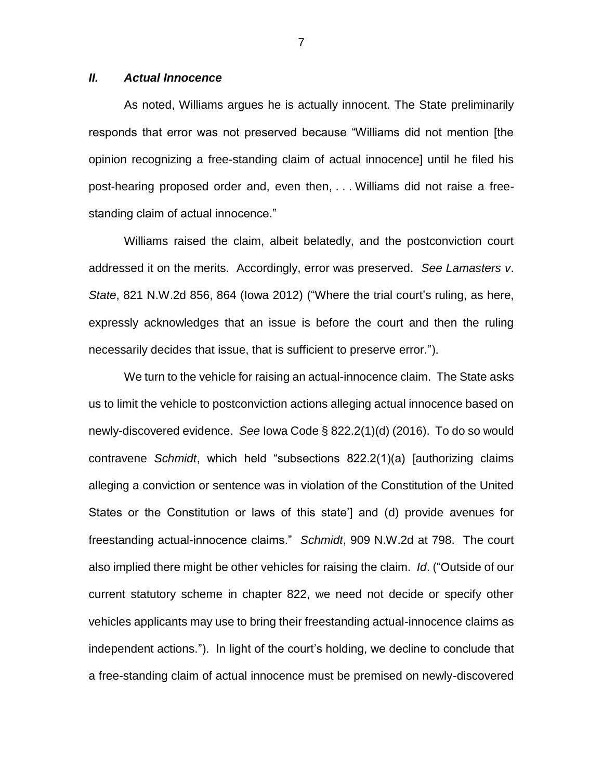## *II. Actual Innocence*

As noted, Williams argues he is actually innocent. The State preliminarily responds that error was not preserved because "Williams did not mention [the opinion recognizing a free-standing claim of actual innocence] until he filed his post-hearing proposed order and, even then, . . . Williams did not raise a freestanding claim of actual innocence."

Williams raised the claim, albeit belatedly, and the postconviction court addressed it on the merits. Accordingly, error was preserved. *See Lamasters v*. *State*, 821 N.W.2d 856, 864 (Iowa 2012) ("Where the trial court's ruling, as here, expressly acknowledges that an issue is before the court and then the ruling necessarily decides that issue, that is sufficient to preserve error.").

We turn to the vehicle for raising an actual-innocence claim. The State asks us to limit the vehicle to postconviction actions alleging actual innocence based on newly-discovered evidence. *See* Iowa Code § 822.2(1)(d) (2016). To do so would contravene *Schmidt*, which held "subsections 822.2(1)(a) [authorizing claims alleging a conviction or sentence was in violation of the Constitution of the United States or the Constitution or laws of this state'] and (d) provide avenues for freestanding actual-innocence claims." *Schmidt*, 909 N.W.2d at 798. The court also implied there might be other vehicles for raising the claim. *Id*. ("Outside of our current statutory scheme in chapter 822, we need not decide or specify other vehicles applicants may use to bring their freestanding actual-innocence claims as independent actions."). In light of the court's holding, we decline to conclude that a free-standing claim of actual innocence must be premised on newly-discovered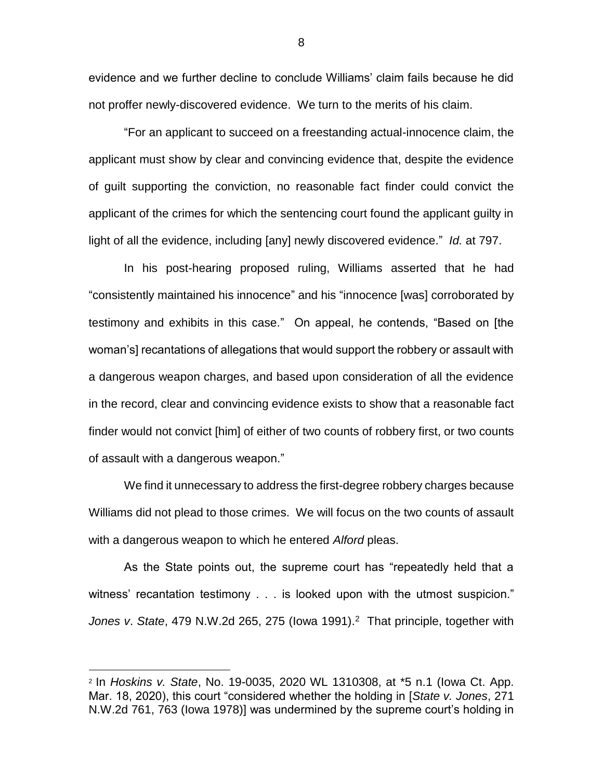evidence and we further decline to conclude Williams' claim fails because he did not proffer newly-discovered evidence. We turn to the merits of his claim.

"For an applicant to succeed on a freestanding actual-innocence claim, the applicant must show by clear and convincing evidence that, despite the evidence of guilt supporting the conviction, no reasonable fact finder could convict the applicant of the crimes for which the sentencing court found the applicant guilty in light of all the evidence, including [any] newly discovered evidence." *Id.* at 797.

In his post-hearing proposed ruling, Williams asserted that he had "consistently maintained his innocence" and his "innocence [was] corroborated by testimony and exhibits in this case." On appeal, he contends, "Based on [the woman's] recantations of allegations that would support the robbery or assault with a dangerous weapon charges, and based upon consideration of all the evidence in the record, clear and convincing evidence exists to show that a reasonable fact finder would not convict [him] of either of two counts of robbery first, or two counts of assault with a dangerous weapon."

We find it unnecessary to address the first-degree robbery charges because Williams did not plead to those crimes. We will focus on the two counts of assault with a dangerous weapon to which he entered *Alford* pleas.

As the State points out, the supreme court has "repeatedly held that a witness' recantation testimony . . . is looked upon with the utmost suspicion." Jones v. State, 479 N.W.2d 265, 275 (lowa 1991).<sup>2</sup> That principle, together with

 $\overline{a}$ 

<sup>2</sup> In *Hoskins v. State*, No. 19-0035, 2020 WL 1310308, at \*5 n.1 (Iowa Ct. App. Mar. 18, 2020), this court "considered whether the holding in [*State v. Jones*, 271 N.W.2d 761, 763 (Iowa 1978)] was undermined by the supreme court's holding in